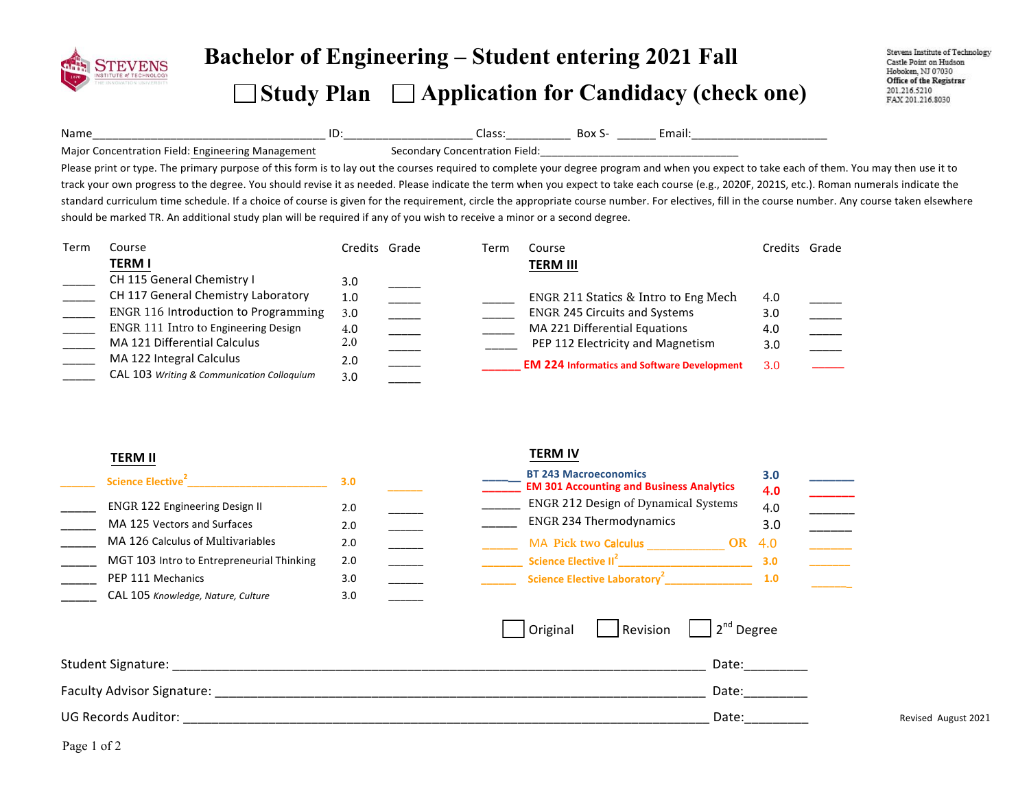

# **Bachelor of Engineering – Student entering <sup>20</sup><sup>21</sup> Fall**

### **Study Plan Application for Candidacy (check one)**

Stevens Institute of Technology Castle Point on Hudson Hoboken, NJ 07030 Office of the Registrar 201.216.5210 FAX 201.216.8030

Name\_\_\_\_\_\_\_\_\_\_\_\_\_\_\_\_\_\_\_\_\_\_\_\_\_\_\_\_\_\_\_\_\_\_\_\_!ID:\_\_\_\_\_\_\_\_\_\_\_\_\_\_\_\_\_\_\_\_!Class:\_\_\_\_\_\_\_\_\_\_!!Box!S- \_\_\_\_\_\_!Email:\_\_\_\_\_\_\_\_\_\_\_\_\_\_\_\_\_\_\_\_\_!Major Concentration Field: Engineering Management Secondary Concentration Field: Please print or type. The primary purpose of this form is to lay out the courses required to complete your degree program and when you expect to take each of them. You may then use it to

track your own progress to the degree. You should revise it as needed. Please indicate the term when you expect to take each course (e.g., 2020F, 2021S, etc.). Roman numerals indicate the standard curriculum time schedule. If a choice of course is given for the requirement, circle the appropriate course number. For electives, fill in the course number. Any course taken elsewhere should be marked TR. An additional study plan will be required if any of you wish to receive a minor or a second degree.

| Term | Course                                     | Credits Grade | Term | Course                                             | Credits Grade |  |
|------|--------------------------------------------|---------------|------|----------------------------------------------------|---------------|--|
|      | <b>TERM I</b>                              |               |      | <b>TERM III</b>                                    |               |  |
|      | CH 115 General Chemistry I                 | 3.0           |      |                                                    |               |  |
|      | CH 117 General Chemistry Laboratory        | 1.0           |      | ENGR 211 Statics & Intro to Eng Mech               | 4.0           |  |
|      | ENGR 116 Introduction to Programming       | 3.0           |      | <b>ENGR 245 Circuits and Systems</b>               | 3.0           |  |
|      | ENGR 111 Intro to Engineering Design       | 4.0           |      | MA 221 Differential Equations                      | 4.0           |  |
|      | MA 121 Differential Calculus               | 2.0           |      | PEP 112 Electricity and Magnetism                  | 3.0           |  |
|      | MA 122 Integral Calculus                   | 2.0           |      | <b>EM 224 Informatics and Software Development</b> | 3.0           |  |
|      | CAL 103 Writing & Communication Colloquium | 3.0           |      |                                                    |               |  |

| RM |  |
|----|--|
|    |  |

| Science Elective <sup>2</sup>             | 3.0 |  |
|-------------------------------------------|-----|--|
| <b>ENGR 122 Engineering Design II</b>     | 2.0 |  |
| MA 125 Vectors and Surfaces               | 2.0 |  |
| MA 126 Calculus of Multivariables         | 2.0 |  |
| MGT 103 Intro to Entrepreneurial Thinking | 2.0 |  |
| PEP 111 Mechanics                         | 3.0 |  |
| CAL 105 Knowledge, Nature, Culture        | 3.0 |  |
|                                           |     |  |

| Science Elective <sup>2</sup>             | 3.0 |  | <b>BT 243 Macroeconomics</b><br><b>EM 301 Accounting and Business Analytics</b> | 3.0<br>4.0 |  |
|-------------------------------------------|-----|--|---------------------------------------------------------------------------------|------------|--|
| <b>ENGR 122 Engineering Design II</b>     | 2.0 |  | <b>ENGR 212 Design of Dynamical Systems</b>                                     | 4.0        |  |
| MA 125 Vectors and Surfaces               | 2.0 |  | <b>ENGR 234 Thermodynamics</b>                                                  | 3.0        |  |
| MA 126 Calculus of Multivariables         | 2.0 |  | <b>MA Pick two Calculus</b><br>OR                                               | - 4.0      |  |
| MGT 103 Intro to Entrepreneurial Thinking | 2.0 |  | Science Elective II <sup>2</sup>                                                | 3.0        |  |
| PEP 111 Mechanics                         | 3.0 |  | Science Elective Laboratory <sup>2</sup>                                        | 1.0        |  |
| CAL 105 Knowledge, Nature, Culture        | 3.0 |  |                                                                                 |            |  |

| CH 117 General Chemistry Laboratory<br><b>ENGR 116 Introduction to Programming</b><br>ENGR 111 Intro to Engineering Design<br>MA 121 Differential Calculus<br>MA 122 Integral Calculus<br>CAL 103 Writing & Communication Colloquium | 1.0<br>3.0<br>4.0<br>2.0<br>2.0<br>3.0 | ENGR 211 Statics & Intro to Eng Mech<br><b>ENGR 245 Circuits and Systems</b><br>MA 221 Differential Equations<br>PEP 112 Electricity and Magnetism<br><b>EM 224 Informatics and Software Development</b>                      | 4.0<br>3.0<br>4.0<br>3.0<br>3.0 |  |
|--------------------------------------------------------------------------------------------------------------------------------------------------------------------------------------------------------------------------------------|----------------------------------------|-------------------------------------------------------------------------------------------------------------------------------------------------------------------------------------------------------------------------------|---------------------------------|--|
| <b>TERM II</b>                                                                                                                                                                                                                       |                                        | <b>TERM IV</b>                                                                                                                                                                                                                |                                 |  |
|                                                                                                                                                                                                                                      | 3.0                                    | <b>BT 243 Macroeconomics</b>                                                                                                                                                                                                  | 3.0                             |  |
|                                                                                                                                                                                                                                      |                                        | <b>EM 301 Accounting and Business Analytics</b><br><b>ENGR 212 Design of Dynamical Systems</b>                                                                                                                                | ————<br>————<br>————<br>4.0     |  |
| ENGR 122 Engineering Design II                                                                                                                                                                                                       | 2.0                                    | <b>ENGR 234 Thermodynamics</b>                                                                                                                                                                                                | 4.0                             |  |
| MA 125 Vectors and Surfaces                                                                                                                                                                                                          | 2.0                                    |                                                                                                                                                                                                                               | 3.0                             |  |
| MA 126 Calculus of Multivariables                                                                                                                                                                                                    | 2.0                                    | MA Pick two Calculus _______________ OR                                                                                                                                                                                       | $\overline{\phantom{a}}$<br>4.0 |  |
| MGT 103 Intro to Entrepreneurial Thinking                                                                                                                                                                                            | $\overline{\phantom{a}}$<br>2.0        |                                                                                                                                                                                                                               | $\overline{\phantom{a}}$<br>3.0 |  |
| PEP 111 Mechanics                                                                                                                                                                                                                    | 3.0                                    | <b>Science Elective Laboratory</b> <sup>2</sup> <sub>________________</sub>                                                                                                                                                   | 1.0                             |  |
| CAL 105 Knowledge, Nature, Culture                                                                                                                                                                                                   | 3.0                                    | Revision<br>Original                                                                                                                                                                                                          | 2 <sup>nd</sup> Degree          |  |
|                                                                                                                                                                                                                                      |                                        |                                                                                                                                                                                                                               | Date:                           |  |
|                                                                                                                                                                                                                                      |                                        | Date: and the part of the painting of the set of the set of the set of the set of the set of the set of the set of the set of the set of the set of the set of the set of the set of the set of the set of the set of the set |                                 |  |
|                                                                                                                                                                                                                                      | Date:                                  |                                                                                                                                                                                                                               | Revised August 2021             |  |
| Page 1 of 2                                                                                                                                                                                                                          |                                        |                                                                                                                                                                                                                               |                                 |  |